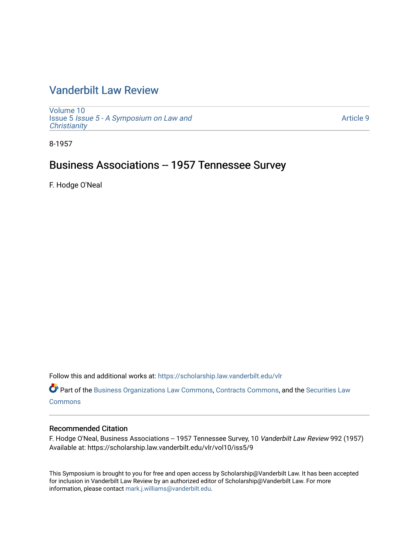# [Vanderbilt Law Review](https://scholarship.law.vanderbilt.edu/vlr)

[Volume 10](https://scholarship.law.vanderbilt.edu/vlr/vol10) Issue 5 [Issue 5 - A Symposium on Law and](https://scholarship.law.vanderbilt.edu/vlr/vol10/iss5) **Christianity** 

[Article 9](https://scholarship.law.vanderbilt.edu/vlr/vol10/iss5/9) 

8-1957

## Business Associations -- 1957 Tennessee Survey

F. Hodge O'Neal

Follow this and additional works at: [https://scholarship.law.vanderbilt.edu/vlr](https://scholarship.law.vanderbilt.edu/vlr?utm_source=scholarship.law.vanderbilt.edu%2Fvlr%2Fvol10%2Fiss5%2F9&utm_medium=PDF&utm_campaign=PDFCoverPages)

Part of the [Business Organizations Law Commons](http://network.bepress.com/hgg/discipline/900?utm_source=scholarship.law.vanderbilt.edu%2Fvlr%2Fvol10%2Fiss5%2F9&utm_medium=PDF&utm_campaign=PDFCoverPages), [Contracts Commons,](http://network.bepress.com/hgg/discipline/591?utm_source=scholarship.law.vanderbilt.edu%2Fvlr%2Fvol10%2Fiss5%2F9&utm_medium=PDF&utm_campaign=PDFCoverPages) and the [Securities Law](http://network.bepress.com/hgg/discipline/619?utm_source=scholarship.law.vanderbilt.edu%2Fvlr%2Fvol10%2Fiss5%2F9&utm_medium=PDF&utm_campaign=PDFCoverPages) **[Commons](http://network.bepress.com/hgg/discipline/619?utm_source=scholarship.law.vanderbilt.edu%2Fvlr%2Fvol10%2Fiss5%2F9&utm_medium=PDF&utm_campaign=PDFCoverPages)** 

### Recommended Citation

F. Hodge O'Neal, Business Associations -- 1957 Tennessee Survey, 10 Vanderbilt Law Review 992 (1957) Available at: https://scholarship.law.vanderbilt.edu/vlr/vol10/iss5/9

This Symposium is brought to you for free and open access by Scholarship@Vanderbilt Law. It has been accepted for inclusion in Vanderbilt Law Review by an authorized editor of Scholarship@Vanderbilt Law. For more information, please contact [mark.j.williams@vanderbilt.edu](mailto:mark.j.williams@vanderbilt.edu).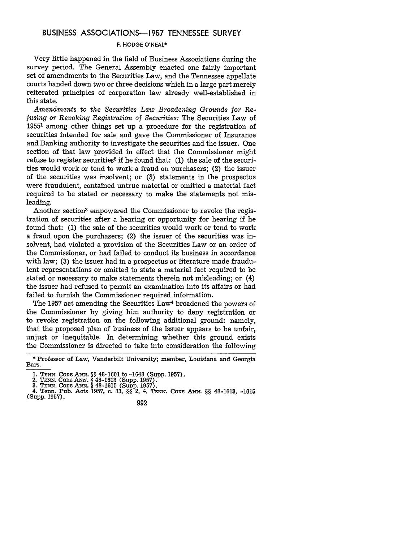#### **BUSINESS ASSOCIATIONS-1957 TENNESSEE** SURVEY

#### **F. HODGE O'NEAL\***

Very little happened in the field of Business Associations during the survey period. The General Assembly enacted one fairly important set of amendments to the Securities Law, and the Tennessee appellate courts handed down two or three decisions which in a large part merely reiterated principles of corporation law already well-established in this state.

*Amendments to the Securities Law Broadening Grounds for Refusing or Revoking Registration of Securities:* The Securities Law of 19551 among other things set up a procedure for the registration of securities intended for sale and gave the Commissioner of Insurance and Banking authority to investigate the securities and the issuer. One section of that law provided in effect that the Commissioner might refuse to register securities<sup>2</sup> if he found that:  $(1)$  the sale of the securities would work or tend to work a fraud on purchasers; (2) the issuer of the securities was insolvent; or (3) statements in the prospectus were fraudulent, contained untrue material or omitted a material fact required to be stated or necessary to make the statements not misleading.

Another section<sup>3</sup> empowered the Commissioner to revoke the registration of securities after a hearing or opportunity for hearing if he found that: (1) the sale of the securities would work or tend to work a fraud upon the purchasers; (2) the issuer of the securities was insolvent, had violated a provision of the Securities Law or an order of the Commissioner, or had failed to conduct its business in accordance with law; (3) the issuer had in a prospectus or literature made fraudulent representations or omitted to state a material fact required to be stated or necessary to make statements therein not misleading; or (4) the issuer had refused to permit an examination into its affairs or had failed to furnish the Commissioner required information.

The 1957 act amending the Securities Law<sup>4</sup> broadened the powers of the Commissioner by giving him authority to deny registration or to revoke registration on the following additional ground: namely, that the proposed plan of business of the issuer appears to be unfair, unjust or inequitable. In determining whether this ground exists the Commissioner is directed to take into consideration the following

3. **TENN.** *CODE ANN.* § 48-1615 (Supp. 1957). 4. Tenn. Pub. Acts **1957,** c. 83, §§ 2, 4, **TENN. CODE** *ANN.* §§ 48-1613, -1615 (Supp. 1957).

992

<sup>\*</sup> Professor of Law, Vanderbilt University; member, Louisiana and Georgia Bars.

**<sup>1.</sup> TENN.** CODE **ANN.** §§ 48-1601 to -1648 (Supp. **1957).** 2. **TENN. CODE** *ANN.* § 48-1613 (Supp. 1957).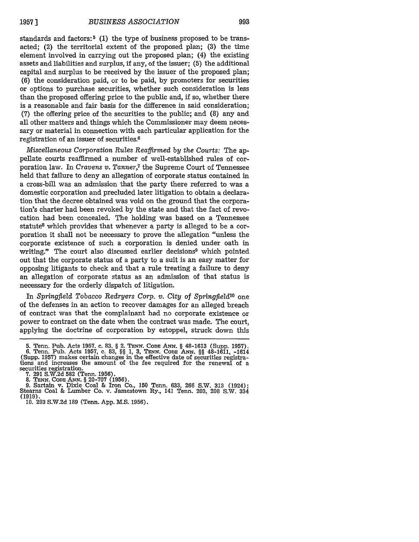standards and factors:<sup>5</sup> (1) the type of business proposed to be transacted; (2) the territorial extent of the proposed plan; **(3)** the time element involved in carrying out the proposed plan; (4) the existing assets and liabilities and surplus, **if** any, of the issuer; **(5)** the additional capital and surplus to be received **by** the issuer of the proposed plan; **(6)** the consideration paid, or to be paid, **by** promoters for securities or options to purchase securities, whether such consideration is less than the proposed offering price to the public and, if so, whether there is a reasonable and fair basis for the difference in said consideration; **(7)** the offering price of the securities to the public; and **(8)** any and all other matters and things which the Commissioner may deem necessary or material in connection with each particular application for the registration of an issuer of securities. <sup>6</sup>

*Miscellaneous Corporation Rules Reaffirmed by the Courts:* The appellate courts reaffirmed a number of well-established rules of corporation law. In *Cravens v. Tanner,7* the Supreme Court of Tennessee held that failure to deny an allegation of corporate status contained in a cross-bill was an admission that the party there referred to was a domestic corporation and precluded later litigation to obtain a declaration that the decree obtained was void on the ground that the corporation's charter had been revoked by the state and that the fact of revocation had been concealed. The holding was based on a Tennessee statute<sup>8</sup> which provides that whenever a party is alleged to be a corporation it shall not be necessary to prove the allegation "unless the corporate existence of such a corporation is denied under oath in writing." The court also discussed earlier decisions<sup>9</sup> which pointed out that the corporate status of a party to a suit is an easy matter for opposing litigants to check and that a rule treating a failure to deny an allegation of corporate status as an admission of that status is necessary for the orderly dispatch of litigation.

In *Springfield* Tobacco *Redryers Corp.* **v.** *City* of *SpringfieZd'o* one of the defenses in an action to recover damages for an alleged breach of contract was that the complainant had no corporate existence or power to contract on the date when the contract was made. The court, applying the doctrine of corporation by estoppel, struck down this

**<sup>5.</sup>** Tenn. Pub. Acts 1957. c. 83. § 2. **TENN. CODE** ANx. § 48-1613 (Supp. 1957). 6. Tenn. Pub. Acts 1957, c. 83, §§ 1, **3, TENN.** CODE ANN. §§ 48-1611, -1614 (Supp. 1957) makes certain changes in the effective date of securities registra- tions and increases the amount of the fee required for the renewal of a tions and increases the amount of the fee required for the renewal of a securities registration.

<sup>7. 291</sup> S.W.2d 582 (Tenn. 1956).<br>8. TENN. CODE ANN. § 20-707 (1956).<br>9. Sartain v. Dixie Coal & Iron Co., 150 Tenn. 633, 266 S.W. 313 (1924):<br>Stearns Coal & Lumber Co. v. Jamestown Ry., 141 Tenn. 203, 208 S.W. 334 (1919). 10. 293 S.W.2d 189 (Tenn. App. M.S. 1956).